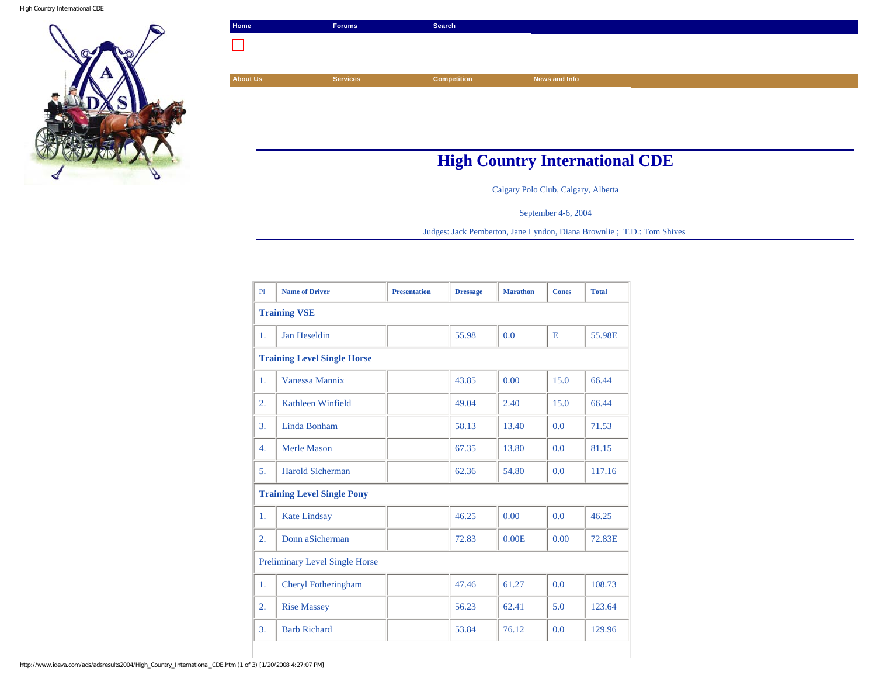High Country International CDE



| Home                                  | <b>Forums</b>   | Search             |               |  |  |  |
|---------------------------------------|-----------------|--------------------|---------------|--|--|--|
|                                       |                 |                    |               |  |  |  |
|                                       |                 |                    |               |  |  |  |
| <b>About Us</b>                       | <b>Services</b> | <b>Competition</b> | News and Info |  |  |  |
|                                       |                 |                    |               |  |  |  |
|                                       |                 |                    |               |  |  |  |
|                                       |                 |                    |               |  |  |  |
|                                       |                 |                    |               |  |  |  |
| <b>High Country International CDE</b> |                 |                    |               |  |  |  |

Calgary Polo Club, Calgary, Alberta

September 4-6, 2004

Judges: Jack Pemberton, Jane Lyndon, Diana Brownlie ; T.D.: Tom Shives

| PI                                    | <b>Name of Driver</b>   | <b>Presentation</b> | <b>Dressage</b> | <b>Marathon</b> | <b>Cones</b> | <b>Total</b> |  |  |  |
|---------------------------------------|-------------------------|---------------------|-----------------|-----------------|--------------|--------------|--|--|--|
| <b>Training VSE</b>                   |                         |                     |                 |                 |              |              |  |  |  |
| 1.                                    | Jan Heseldin            |                     | 55.98           | 0.0             | E            | 55.98E       |  |  |  |
| <b>Training Level Single Horse</b>    |                         |                     |                 |                 |              |              |  |  |  |
| 1.                                    | Vanessa Mannix          |                     | 43.85           | 0.00            | 15.0         | 66.44        |  |  |  |
| 2.                                    | Kathleen Winfield       |                     | 49.04           | 2.40            | 15.0         | 66.44        |  |  |  |
| 3.                                    | Linda Bonham            |                     | 58.13           | 13.40           | 0.0          | 71.53        |  |  |  |
| $\overline{4}$ .                      | Merle Mason             |                     | 67.35           | 13.80           | 0.0          | 81.15        |  |  |  |
| 5.                                    | <b>Harold Sicherman</b> |                     | 62.36           | 54.80           | 0.0          | 117.16       |  |  |  |
| <b>Training Level Single Pony</b>     |                         |                     |                 |                 |              |              |  |  |  |
| 1.                                    | <b>Kate Lindsay</b>     |                     | 46.25           | 0.00            | 0.0          | 46.25        |  |  |  |
| 2.                                    | Donn aSicherman         |                     | 72.83           | 0.00E           | 0.00         | 72.83E       |  |  |  |
| <b>Preliminary Level Single Horse</b> |                         |                     |                 |                 |              |              |  |  |  |
| 1.                                    | Cheryl Fotheringham     |                     | 47.46           | 61.27           | 0.0          | 108.73       |  |  |  |
| 2.                                    | <b>Rise Massey</b>      |                     | 56.23           | 62.41           | 5.0          | 123.64       |  |  |  |
| 3.                                    | <b>Barb Richard</b>     |                     | 53.84           | 76.12           | 0.0          | 129.96       |  |  |  |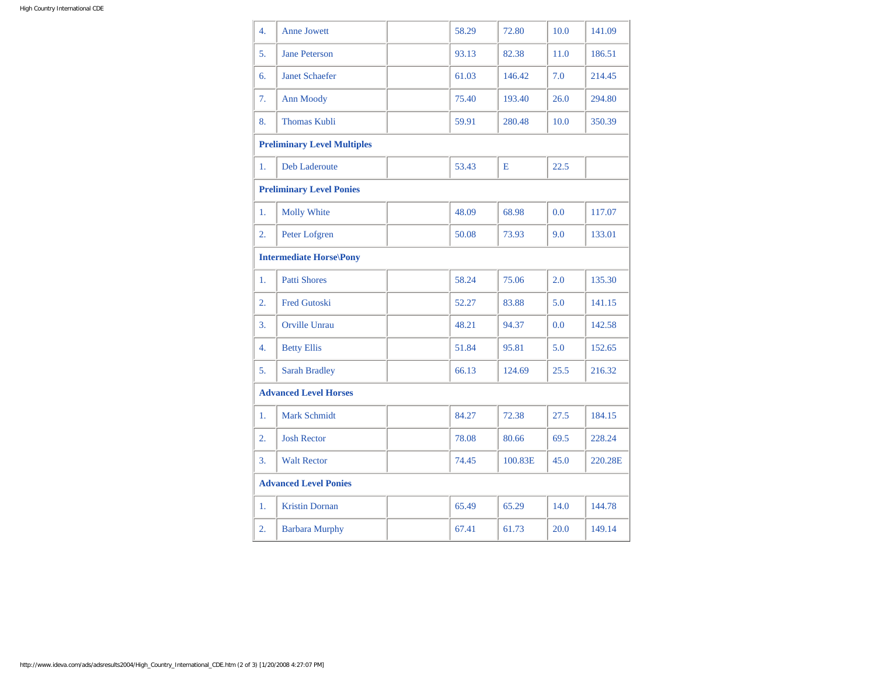| 4.                                 | <b>Anne Jowett</b>    |  | 58.29 | 72.80   | 10.0 | 141.09  |  |  |
|------------------------------------|-----------------------|--|-------|---------|------|---------|--|--|
| 5.                                 | <b>Jane Peterson</b>  |  | 93.13 | 82.38   | 11.0 | 186.51  |  |  |
| 6.                                 | <b>Janet Schaefer</b> |  | 61.03 | 146.42  | 7.0  | 214.45  |  |  |
| 7.                                 | <b>Ann Moody</b>      |  | 75.40 | 193.40  | 26.0 | 294.80  |  |  |
| 8.                                 | <b>Thomas Kubli</b>   |  | 59.91 | 280.48  | 10.0 | 350.39  |  |  |
| <b>Preliminary Level Multiples</b> |                       |  |       |         |      |         |  |  |
| 1.                                 | <b>Deb Laderoute</b>  |  | 53.43 | E       | 22.5 |         |  |  |
| <b>Preliminary Level Ponies</b>    |                       |  |       |         |      |         |  |  |
| 1.                                 | <b>Molly White</b>    |  | 48.09 | 68.98   | 0.0  | 117.07  |  |  |
| 2.                                 | Peter Lofgren         |  | 50.08 | 73.93   | 9.0  | 133.01  |  |  |
| <b>Intermediate Horse\Pony</b>     |                       |  |       |         |      |         |  |  |
| 1.                                 | <b>Patti Shores</b>   |  | 58.24 | 75.06   | 2.0  | 135.30  |  |  |
| 2.                                 | <b>Fred Gutoski</b>   |  | 52.27 | 83.88   | 5.0  | 141.15  |  |  |
| 3.                                 | <b>Orville Unrau</b>  |  | 48.21 | 94.37   | 0.0  | 142.58  |  |  |
| 4.                                 | <b>Betty Ellis</b>    |  | 51.84 | 95.81   | 5.0  | 152.65  |  |  |
| 5.                                 | <b>Sarah Bradley</b>  |  | 66.13 | 124.69  | 25.5 | 216.32  |  |  |
| <b>Advanced Level Horses</b>       |                       |  |       |         |      |         |  |  |
| 1.                                 | <b>Mark Schmidt</b>   |  | 84.27 | 72.38   | 27.5 | 184.15  |  |  |
| 2.                                 | <b>Josh Rector</b>    |  | 78.08 | 80.66   | 69.5 | 228.24  |  |  |
| 3.                                 | <b>Walt Rector</b>    |  | 74.45 | 100.83E | 45.0 | 220.28E |  |  |
| <b>Advanced Level Ponies</b>       |                       |  |       |         |      |         |  |  |
| 1.                                 | <b>Kristin Dornan</b> |  | 65.49 | 65.29   | 14.0 | 144.78  |  |  |
| $\overline{2}$ .                   | <b>Barbara Murphy</b> |  | 67.41 | 61.73   | 20.0 | 149.14  |  |  |